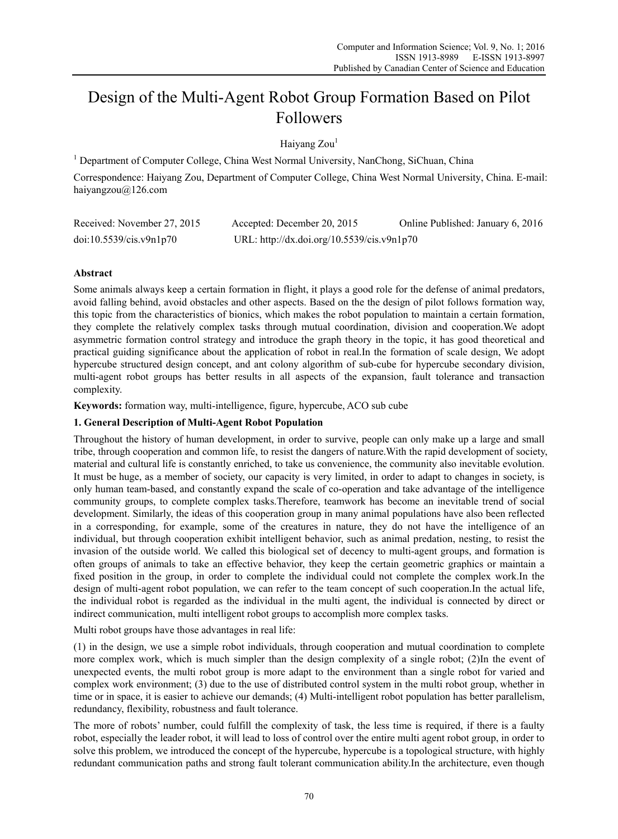# Design of the Multi-Agent Robot Group Formation Based on Pilot Followers

Haiyang Zou<sup>1</sup>

<sup>1</sup> Department of Computer College, China West Normal University, NanChong, SiChuan, China

Correspondence: Haiyang Zou, Department of Computer College, China West Normal University, China. E-mail: haiyangzou@126.com

| Received: November 27, 2015 | Accepted: December 20, 2015                | Online Published: January 6, 2016 |
|-----------------------------|--------------------------------------------|-----------------------------------|
| doi:10.5539/cis.v9n1p70     | URL: http://dx.doi.org/10.5539/cis.v9n1p70 |                                   |

# **Abstract**

Some animals always keep a certain formation in flight, it plays a good role for the defense of animal predators, avoid falling behind, avoid obstacles and other aspects. Based on the the design of pilot follows formation way, this topic from the characteristics of bionics, which makes the robot population to maintain a certain formation, they complete the relatively complex tasks through mutual coordination, division and cooperation.We adopt asymmetric formation control strategy and introduce the graph theory in the topic, it has good theoretical and practical guiding significance about the application of robot in real.In the formation of scale design, We adopt hypercube structured design concept, and ant colony algorithm of sub-cube for hypercube secondary division, multi-agent robot groups has better results in all aspects of the expansion, fault tolerance and transaction complexity.

**Keywords:** formation way, multi-intelligence, figure, hypercube, ACO sub cube

## **1. General Description of Multi-Agent Robot Population**

Throughout the history of human development, in order to survive, people can only make up a large and small tribe, through cooperation and common life, to resist the dangers of nature.With the rapid development of society, material and cultural life is constantly enriched, to take us convenience, the community also inevitable evolution. It must be huge, as a member of society, our capacity is very limited, in order to adapt to changes in society, is only human team-based, and constantly expand the scale of co-operation and take advantage of the intelligence community groups, to complete complex tasks.Therefore, teamwork has become an inevitable trend of social development. Similarly, the ideas of this cooperation group in many animal populations have also been reflected in a corresponding, for example, some of the creatures in nature, they do not have the intelligence of an individual, but through cooperation exhibit intelligent behavior, such as animal predation, nesting, to resist the invasion of the outside world. We called this biological set of decency to multi-agent groups, and formation is often groups of animals to take an effective behavior, they keep the certain geometric graphics or maintain a fixed position in the group, in order to complete the individual could not complete the complex work.In the design of multi-agent robot population, we can refer to the team concept of such cooperation.In the actual life, the individual robot is regarded as the individual in the multi agent, the individual is connected by direct or indirect communication, multi intelligent robot groups to accomplish more complex tasks.

Multi robot groups have those advantages in real life:

(1) in the design, we use a simple robot individuals, through cooperation and mutual coordination to complete more complex work, which is much simpler than the design complexity of a single robot; (2)In the event of unexpected events, the multi robot group is more adapt to the environment than a single robot for varied and complex work environment; (3) due to the use of distributed control system in the multi robot group, whether in time or in space, it is easier to achieve our demands; (4) Multi-intelligent robot population has better parallelism, redundancy, flexibility, robustness and fault tolerance.

The more of robots' number, could fulfill the complexity of task, the less time is required, if there is a faulty robot, especially the leader robot, it will lead to loss of control over the entire multi agent robot group, in order to solve this problem, we introduced the concept of the hypercube, hypercube is a topological structure, with highly redundant communication paths and strong fault tolerant communication ability.In the architecture, even though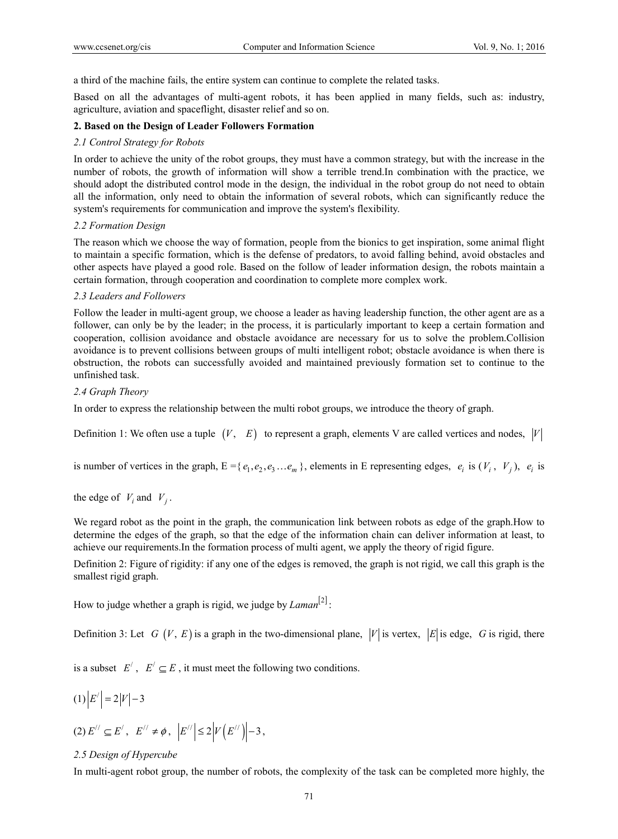a third of the machine fails, the entire system can continue to complete the related tasks.

Based on all the advantages of multi-agent robots, it has been applied in many fields, such as: industry, agriculture, aviation and spaceflight, disaster relief and so on.

#### **2. Based on the Design of Leader Followers Formation**

### *2.1 Control Strategy for Robots*

In order to achieve the unity of the robot groups, they must have a common strategy, but with the increase in the number of robots, the growth of information will show a terrible trend.In combination with the practice, we should adopt the distributed control mode in the design, the individual in the robot group do not need to obtain all the information, only need to obtain the information of several robots, which can significantly reduce the system's requirements for communication and improve the system's flexibility.

#### *2.2 Formation Design*

The reason which we choose the way of formation, people from the bionics to get inspiration, some animal flight to maintain a specific formation, which is the defense of predators, to avoid falling behind, avoid obstacles and other aspects have played a good role. Based on the follow of leader information design, the robots maintain a certain formation, through cooperation and coordination to complete more complex work.

#### *2.3 Leaders and Followers*

Follow the leader in multi-agent group, we choose a leader as having leadership function, the other agent are as a follower, can only be by the leader; in the process, it is particularly important to keep a certain formation and cooperation, collision avoidance and obstacle avoidance are necessary for us to solve the problem.Collision avoidance is to prevent collisions between groups of multi intelligent robot; obstacle avoidance is when there is obstruction, the robots can successfully avoided and maintained previously formation set to continue to the unfinished task.

#### *2.4 Graph Theory*

In order to express the relationship between the multi robot groups, we introduce the theory of graph.

Definition 1: We often use a tuple  $(V, E)$  to represent a graph, elements V are called vertices and nodes,  $|V|$ 

is number of vertices in the graph,  $E = \{e_1, e_2, e_3 \dots e_m\}$ , elements in E representing edges,  $e_i$  is  $(V_i, V_j)$ ,  $e_i$  is

### the edge of  $V_i$  and  $V_j$ .

We regard robot as the point in the graph, the communication link between robots as edge of the graph.How to determine the edges of the graph, so that the edge of the information chain can deliver information at least, to achieve our requirements.In the formation process of multi agent, we apply the theory of rigid figure.

Definition 2: Figure of rigidity: if any one of the edges is removed, the graph is not rigid, we call this graph is the smallest rigid graph.

How to judge whether a graph is rigid, we judge by  $Laman^{[2]}$ :

Definition 3: Let *G*  $(V, E)$  is a graph in the two-dimensional plane,  $|V|$  is vertex,  $|E|$  is edge, *G* is rigid, there

is a subset  $E'$ ,  $E' \subseteq E$ , it must meet the following two conditions.

(1) 
$$
|E'| = 2|V| - 3
$$
  
(2)  $E'' \subseteq E', E'' \neq \phi, |E''| \leq 2|V(E'')| - 3,$ 

### *2.5 Design of Hypercube*

In multi-agent robot group, the number of robots, the complexity of the task can be completed more highly, the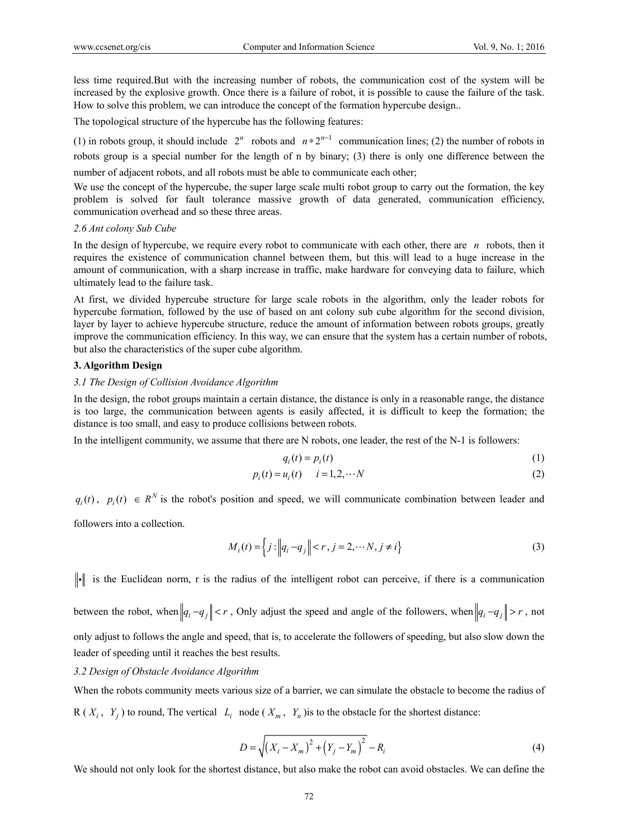less time required.But with the increasing number of robots, the communication cost of the system will be increased by the explosive growth. Once there is a failure of robot, it is possible to cause the failure of the task. How to solve this problem, we can introduce the concept of the formation hypercube design..

The topological structure of the hypercube has the following features:

(1) in robots group, it should include  $2^n$  robots and  $n * 2^{n-1}$  communication lines; (2) the number of robots in robots group is a special number for the length of n by binary; (3) there is only one difference between the

number of adjacent robots, and all robots must be able to communicate each other;

We use the concept of the hypercube, the super large scale multi robot group to carry out the formation, the key problem is solved for fault tolerance massive growth of data generated, communication efficiency, communication overhead and so these three areas.

#### *2.6 Ant colony Sub Cube*

In the design of hypercube, we require every robot to communicate with each other, there are *n* robots, then it requires the existence of communication channel between them, but this will lead to a huge increase in the amount of communication, with a sharp increase in traffic, make hardware for conveying data to failure, which ultimately lead to the failure task.

At first, we divided hypercube structure for large scale robots in the algorithm, only the leader robots for hypercube formation, followed by the use of based on ant colony sub cube algorithm for the second division, layer by layer to achieve hypercube structure, reduce the amount of information between robots groups, greatly improve the communication efficiency. In this way, we can ensure that the system has a certain number of robots, but also the characteristics of the super cube algorithm.

#### **3. Algorithm Design**

#### *3.1 The Design of Collision Avoidance Algorithm*

In the design, the robot groups maintain a certain distance, the distance is only in a reasonable range, the distance is too large, the communication between agents is easily affected, it is difficult to keep the formation; the distance is too small, and easy to produce collisions between robots.

In the intelligent community, we assume that there are N robots, one leader, the rest of the N-1 is followers:

$$
q_i(t) = p_i(t) \tag{1}
$$

$$
p_i(t) = u_i(t) \qquad i = 1, 2, \cdots N \tag{2}
$$

 $q_i(t)$ ,  $p_i(t) \in R^N$  is the robot's position and speed, we will communicate combination between leader and

followers into a collection.

$$
M_i(t) = \left\{ j : \left\| q_i - q_j \right\| < r, j = 2, \cdots N, j \neq i \right\} \tag{3}
$$

 $\|\cdot\|$  is the Euclidean norm, r is the radius of the intelligent robot can perceive, if there is a communication

between the robot, when  $\left\|q_i-q_j\right\| < r$ , Only adjust the speed and angle of the followers, when  $\left\|q_i-q_j\right\| > r$ , not only adjust to follows the angle and speed, that is, to accelerate the followers of speeding, but also slow down the leader of speeding until it reaches the best results.

## *3.2 Design of Obstacle Avoidance Algorithm*

When the robots community meets various size of a barrier, we can simulate the obstacle to become the radius of  $R(X_i, Y_j)$  to round, The vertical  $L_i$  node  $(X_m, Y_n)$  is to the obstacle for the shortest distance:

$$
D = \sqrt{(X_i - X_m)^2 + (Y_j - Y_m)^2} - R_i
$$
\n(4)

We should not only look for the shortest distance, but also make the robot can avoid obstacles. We can define the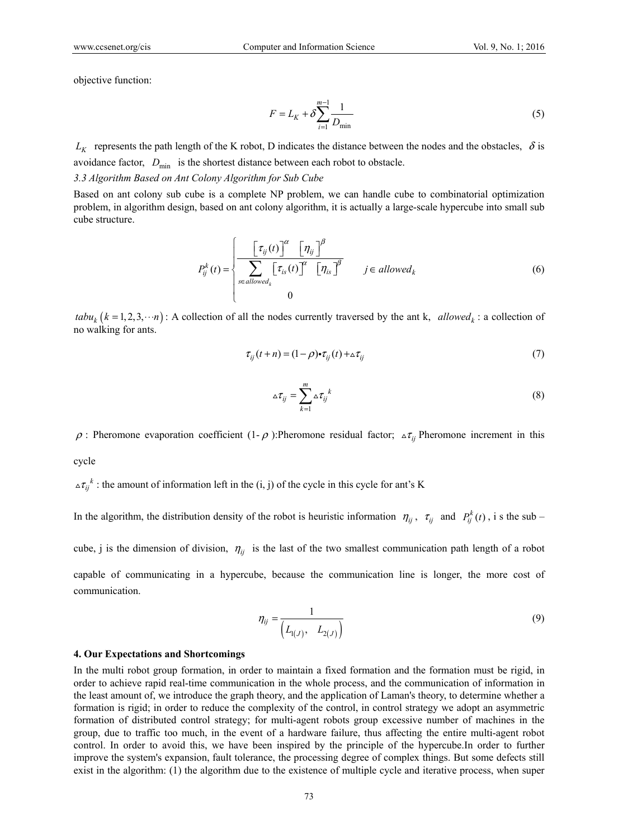objective function:

$$
F = L_K + \delta \sum_{i=1}^{m-1} \frac{1}{D_{\min}} \tag{5}
$$

 $L_K$  represents the path length of the K robot, D indicates the distance between the nodes and the obstacles,  $\delta$  is avoidance factor,  $D_{\text{min}}$  is the shortest distance between each robot to obstacle.

*3.3 Algorithm Based on Ant Colony Algorithm for Sub Cube* 

Based on ant colony sub cube is a complete NP problem, we can handle cube to combinatorial optimization problem, in algorithm design, based on ant colony algorithm, it is actually a large-scale hypercube into small sub cube structure.

$$
P_{ij}^{k}(t) = \begin{cases} \frac{\left[\tau_{ij}(t)\right]^{\alpha} \left[\eta_{ij}\right]^{\beta}}{\sum_{s \in allowed_k} \left[\tau_{is}(t)\right]^{\alpha} \left[\eta_{is}\right]^{\beta}} & j \in allowed_k\\ 0 & \end{cases}
$$
 (6)

 $tabu<sub>k</sub>$  ( $k = 1, 2, 3, \dots n$ ): A collection of all the nodes currently traversed by the ant k, *allowed*<sub>k</sub>: a collection of no walking for ants.

$$
\tau_{ij}(t+n) = (1-\rho)\cdot \tau_{ij}(t) + \Delta \tau_{ij}
$$
\n(7)

$$
\Delta \tau_{ij} = \sum_{k=1}^{m} \Delta \tau_{ij}^{k} \tag{8}
$$

 $ρ$ : Pheromone evaporation coefficient (1- $ρ$ ):Pheromone residual factor;  $Δπ<sub>ij</sub>$  Pheromone increment in this cycle

 $\Delta \tau_{ij}^k$ : the amount of information left in the (i, j) of the cycle in this cycle for ant's K

In the algorithm, the distribution density of the robot is heuristic information  $\eta_{ij}$ ,  $\tau_{ij}$  and  $P_{ij}^k(t)$ , is the sub –

cube, j is the dimension of division,  $\eta_{ij}$  is the last of the two smallest communication path length of a robot

capable of communicating in a hypercube, because the communication line is longer, the more cost of communication.

$$
\eta_{ij} = \frac{1}{\left(L_{1(J)}, \quad L_{2(J)}\right)}\tag{9}
$$

#### **4. Our Expectations and Shortcomings**

In the multi robot group formation, in order to maintain a fixed formation and the formation must be rigid, in order to achieve rapid real-time communication in the whole process, and the communication of information in the least amount of, we introduce the graph theory, and the application of Laman's theory, to determine whether a formation is rigid; in order to reduce the complexity of the control, in control strategy we adopt an asymmetric formation of distributed control strategy; for multi-agent robots group excessive number of machines in the group, due to traffic too much, in the event of a hardware failure, thus affecting the entire multi-agent robot control. In order to avoid this, we have been inspired by the principle of the hypercube.In order to further improve the system's expansion, fault tolerance, the processing degree of complex things. But some defects still exist in the algorithm: (1) the algorithm due to the existence of multiple cycle and iterative process, when super